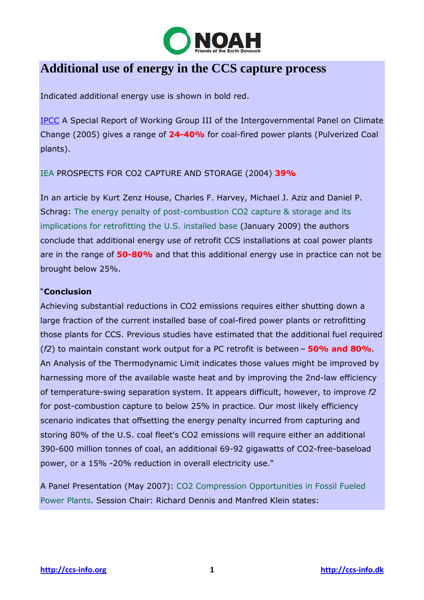

## **Additional use of energy in the CCS capture process**

Indicated additional energy use is shown in bold red.

IPCC A Special Report of Working Group III of the Intergovernmental Panel on Climate Change (2005) gives a range of **24-40%** for coal-fired power plants (Pulverized Coal plants).

IEA PROSPECTS FOR CO2 CAPTURE AND STORAGE (2004) **39%**

In an article by Kurt Zenz House, Charles F. Harvey, Michael J. Aziz and Daniel P. Schrag: The energy penalty of post-combustion CO2 capture & storage and its implications for retrofitting the U.S. installed base (January 2009) the authors conclude that additional energy use of retrofit CCS installations at coal power plants are in the range of **50-80%** and that this additional energy use in practice can not be brought below 25%.

## "**Conclusion**

Achieving substantial reductions in CO2 emissions requires either shutting down a large fraction of the current installed base of coal-fired power plants or retrofitting those plants for CCS. Previous studies have estimated that the additional fuel required (*f2*) to maintain constant work output for a PC retrofit is between **~ 50% and 80%**. An Analysis of the Thermodynamic Limit indicates those values might be improved by harnessing more of the available waste heat and by improving the 2nd-law efficiency of temperature-swing separation system. It appears difficult, however, to improve *f2* for post-combustion capture to below 25% in practice. Our most likely efficiency scenario indicates that offsetting the energy penalty incurred from capturing and storing 80% of the U.S. coal fleet's CO2 emissions will require either an additional 390-600 million tonnes of coal, an additional 69-92 gigawatts of CO2-free-baseload power, or a 15% -20% reduction in overall electricity use."

A Panel Presentation (May 2007): CO2 Compression Opportunities in Fossil Fueled Power Plants. Session Chair: Richard Dennis and Manfred Klein states: